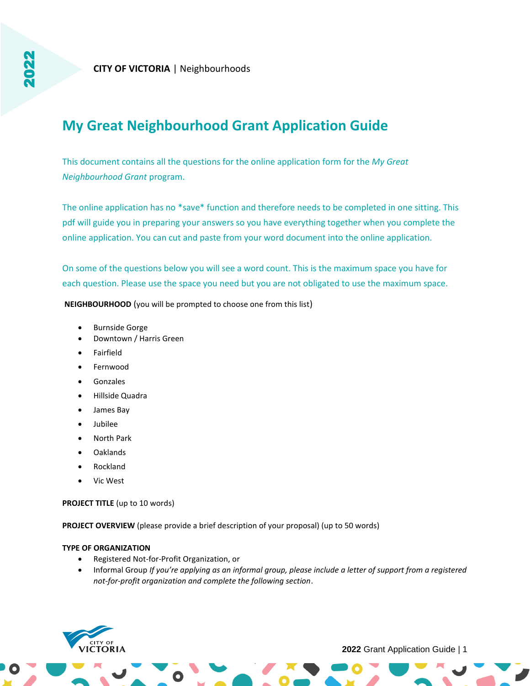# **My Great Neighbourhood Grant Application Guide**

This document contains all the questions for the online application form for the *My Great Neighbourhood Grant* program.

The online application has no \*save\* function and therefore needs to be completed in one sitting. This pdf will guide you in preparing your answers so you have everything together when you complete the online application. You can cut and paste from your word document into the online application.

On some of the questions below you will see a word count. This is the maximum space you have for each question. Please use the space you need but you are not obligated to use the maximum space.

**NEIGHBOURHOOD** (you will be prompted to choose one from this list)

- Burnside Gorge
- Downtown / Harris Green
- **Fairfield**
- Fernwood
- Gonzales
- Hillside Quadra
- James Bay
- Jubilee
- North Park
- Oaklands
- Rockland
- Vic West

**PROJECT TITLE** (up to 10 words)

**PROJECT OVERVIEW** (please provide a brief description of your proposal) (up to 50 words)

# **TYPE OF ORGANIZATION**

- Registered Not-for-Profit Organization, or
- Informal Group *If you're applying as an informal group, please include a letter of support from a registered not-for-profit organization and complete the following section*.

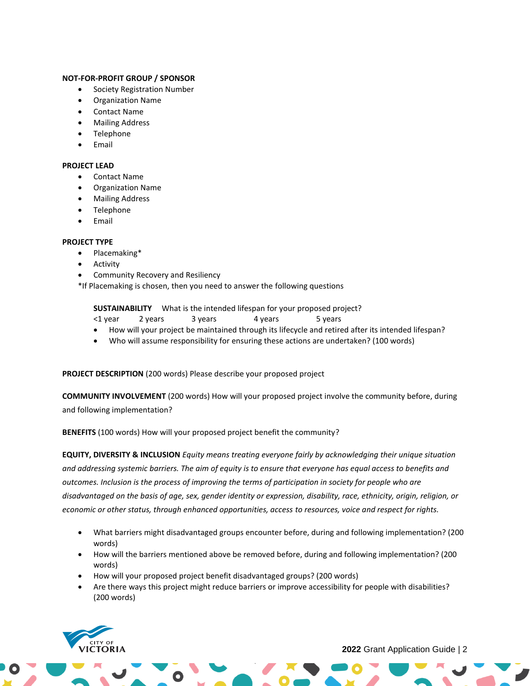# **NOT-FOR-PROFIT GROUP / SPONSOR**

- Society Registration Number
- Organization Name
- Contact Name
- Mailing Address
- Telephone
- **Email**

# **PROJECT LEAD**

- Contact Name
- Organization Name
- Mailing Address
- Telephone
- **Email**

# **PROJECT TYPE**

- Placemaking\*
- Activity
- Community Recovery and Resiliency
- \*If Placemaking is chosen, then you need to answer the following questions

**SUSTAINABILITY** What is the intended lifespan for your proposed project?

- <1 year 2 years 3 years 4 years 5 years
- How will your project be maintained through its lifecycle and retired after its intended lifespan?
- Who will assume responsibility for ensuring these actions are undertaken? (100 words)

**PROJECT DESCRIPTION** (200 words) Please describe your proposed project

**COMMUNITY INVOLVEMENT** (200 words) How will your proposed project involve the community before, during and following implementation?

**BENEFITS** (100 words) How will your proposed project benefit the community?

**EQUITY, DIVERSITY & INCLUSION** *Equity means treating everyone fairly by acknowledging their unique situation and addressing systemic barriers. The aim of equity is to ensure that everyone has equal access to benefits and outcomes. Inclusion is the process of improving the terms of participation in society for people who are disadvantaged on the basis of age, sex, gender identity or expression, disability, race, ethnicity, origin, religion, or economic or other status, through enhanced opportunities, access to resources, voice and respect for rights.* 

- What barriers might disadvantaged groups encounter before, during and following implementation? (200 words)
- How will the barriers mentioned above be removed before, during and following implementation? (200 words)
- How will your proposed project benefit disadvantaged groups? (200 words)
- Are there ways this project might reduce barriers or improve accessibility for people with disabilities? (200 words)

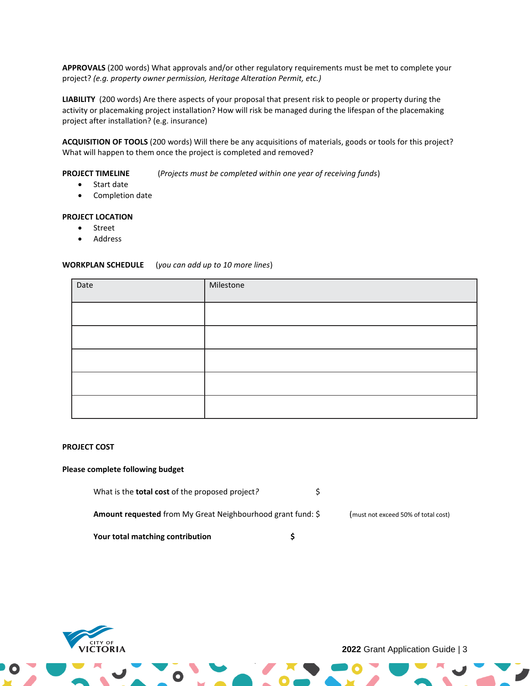**APPROVALS** (200 words) What approvals and/or other regulatory requirements must be met to complete your project? *(e.g. property owner permission, Heritage Alteration Permit, etc.)*

**LIABILITY** (200 words) Are there aspects of your proposal that present risk to people or property during the activity or placemaking project installation? How will risk be managed during the lifespan of the placemaking project after installation? (e.g. insurance)

**ACQUISITION OF TOOLS** (200 words) Will there be any acquisitions of materials, goods or tools for this project? What will happen to them once the project is completed and removed?

**PROJECT TIMELINE** (*Projects must be completed within one year of receiving funds*)

- Start date
- Completion date

# **PROJECT LOCATION**

- Street
- **Address**

### **WORKPLAN SCHEDULE** (*you can add up to 10 more lines*)

| Date | Milestone |
|------|-----------|
|      |           |
|      |           |
|      |           |
|      |           |
|      |           |

# **PROJECT COST**

# **Please complete following budget**

What is the **total cost** of the proposed project?

**Amount requested** from My Great Neighbourhood grant fund: \$ (must not exceed 50% of total cost)

**Your total matching contribution \$**

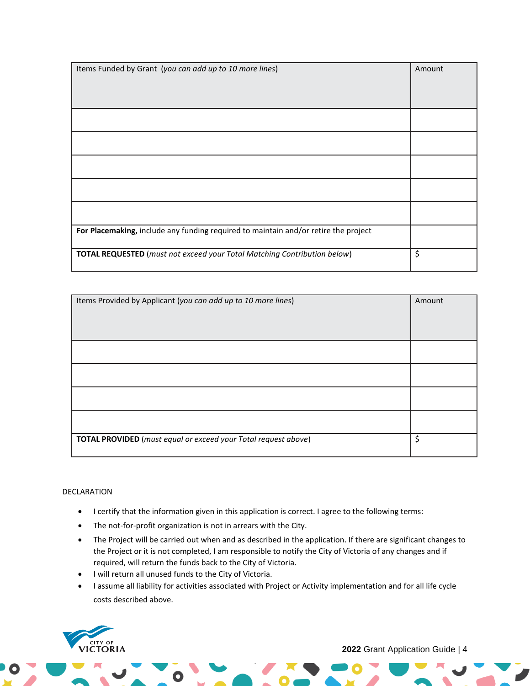| Items Funded by Grant (you can add up to 10 more lines)                             | Amount |
|-------------------------------------------------------------------------------------|--------|
|                                                                                     |        |
|                                                                                     |        |
|                                                                                     |        |
|                                                                                     |        |
|                                                                                     |        |
|                                                                                     |        |
|                                                                                     |        |
|                                                                                     |        |
|                                                                                     |        |
|                                                                                     |        |
| For Placemaking, include any funding required to maintain and/or retire the project |        |
|                                                                                     |        |
| <b>TOTAL REQUESTED</b> (must not exceed your Total Matching Contribution below)     | \$     |

| Items Provided by Applicant (you can add up to 10 more lines)  | Amount |
|----------------------------------------------------------------|--------|
|                                                                |        |
|                                                                |        |
|                                                                |        |
|                                                                |        |
|                                                                |        |
|                                                                |        |
|                                                                |        |
|                                                                |        |
|                                                                |        |
|                                                                |        |
|                                                                |        |
| TOTAL PROVIDED (must equal or exceed your Total request above) | \$     |
|                                                                |        |

# DECLARATION

- I certify that the information given in this application is correct. I agree to the following terms:
- The not-for-profit organization is not in arrears with the City.
- The Project will be carried out when and as described in the application. If there are significant changes to the Project or it is not completed, I am responsible to notify the City of Victoria of any changes and if required, will return the funds back to the City of Victoria.
- I will return all unused funds to the City of Victoria.
- I assume all liability for activities associated with Project or Activity implementation and for all life cycle costs described above.